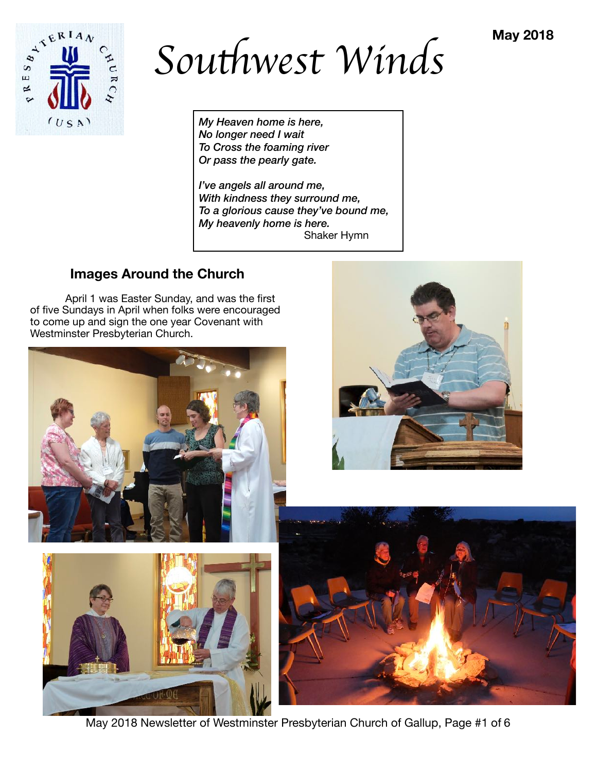

*Sou*t*west Winds*

*My Heaven home is here, No longer need I wait To Cross the foaming river Or pass the pearly gate.* 

*I've angels all around me, With kindness they surround me, To a glorious cause they've bound me, My heavenly home is here.*  Shaker Hymn

# **Images Around the Church**

April 1 was Easter Sunday, and was the first of five Sundays in April when folks were encouraged to come up and sign the one year Covenant with Westminster Presbyterian Church.









May 2018 Newsletter of Westminster Presbyterian Church of Gallup, Page #1 of 6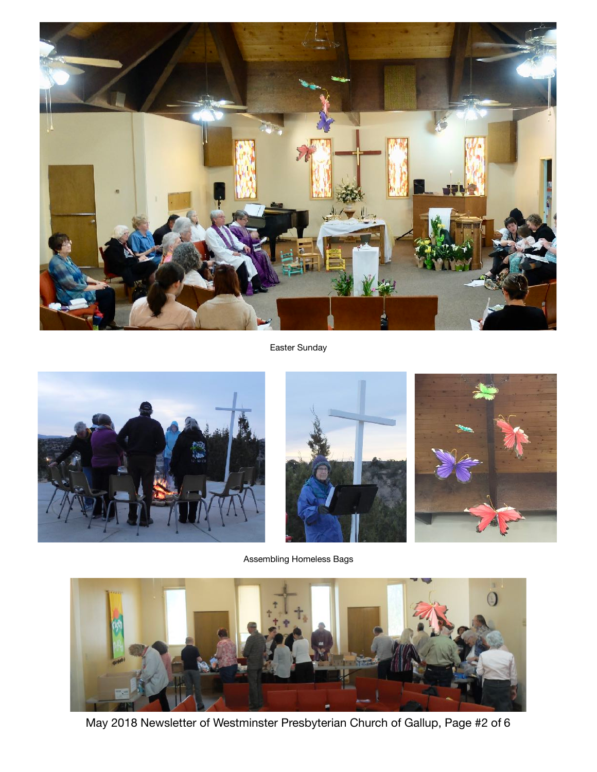

Easter Sunday







Assembling Homeless Bags



May 2018 Newsletter of Westminster Presbyterian Church of Gallup, Page #2 of 6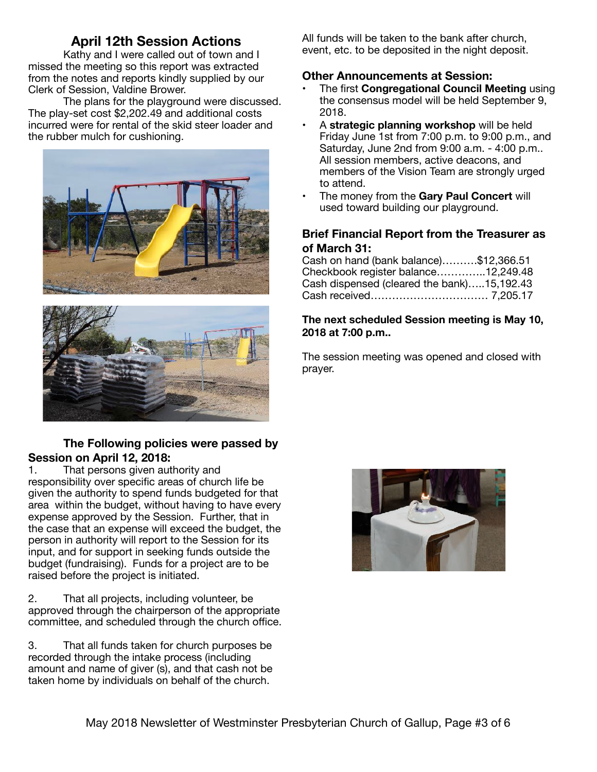# **April 12th Session Actions**

Kathy and I were called out of town and I missed the meeting so this report was extracted from the notes and reports kindly supplied by our Clerk of Session, Valdine Brower.

The plans for the playground were discussed. The play-set cost \$2,202.49 and additional costs incurred were for rental of the skid steer loader and the rubber mulch for cushioning.





## **The Following policies were passed by Session on April 12, 2018:**

1. That persons given authority and responsibility over specific areas of church life be given the authority to spend funds budgeted for that area within the budget, without having to have every expense approved by the Session. Further, that in the case that an expense will exceed the budget, the person in authority will report to the Session for its input, and for support in seeking funds outside the budget (fundraising). Funds for a project are to be raised before the project is initiated.

2. That all projects, including volunteer, be approved through the chairperson of the appropriate committee, and scheduled through the church office.

3. That all funds taken for church purposes be recorded through the intake process (including amount and name of giver (s), and that cash not be taken home by individuals on behalf of the church.

All funds will be taken to the bank after church, event, etc. to be deposited in the night deposit.

## **Other Announcements at Session:**

- The first **Congregational Council Meeting** using the consensus model will be held September 9, 2018.
- A **strategic planning workshop** will be held Friday June 1st from 7:00 p.m. to 9:00 p.m., and Saturday, June 2nd from 9:00 a.m. - 4:00 p.m.. All session members, active deacons, and members of the Vision Team are strongly urged to attend.
- The money from the **Gary Paul Concert** will used toward building our playground.

## **Brief Financial Report from the Treasurer as of March 31:**

| Cash on hand (bank balance)\$12,366.51     |  |
|--------------------------------------------|--|
| Checkbook register balance12,249.48        |  |
| Cash dispensed (cleared the bank)15,192.43 |  |
|                                            |  |

### **The next scheduled Session meeting is May 10, 2018 at 7:00 p.m..**

The session meeting was opened and closed with prayer.

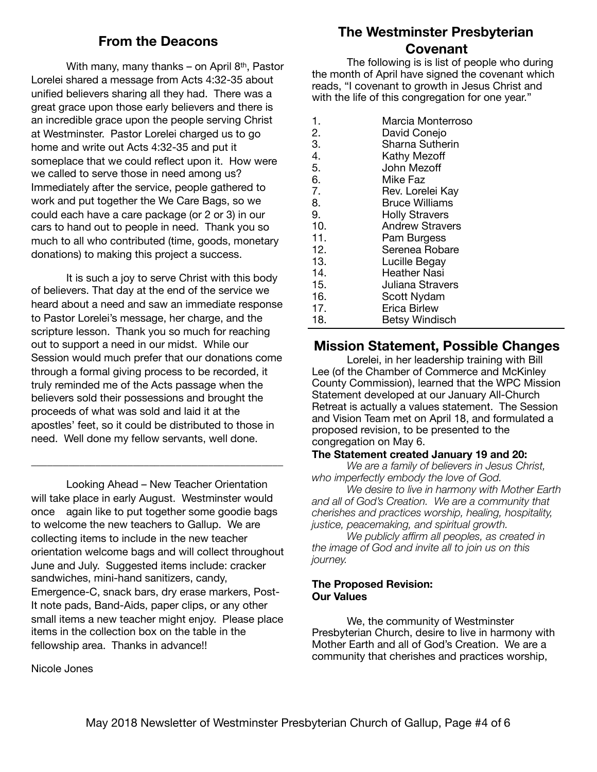## **From the Deacons**

With many, many thanks – on April 8<sup>th</sup>, Pastor Lorelei shared a message from Acts 4:32-35 about unified believers sharing all they had. There was a great grace upon those early believers and there is an incredible grace upon the people serving Christ at Westminster. Pastor Lorelei charged us to go home and write out Acts 4:32-35 and put it someplace that we could reflect upon it. How were we called to serve those in need among us? Immediately after the service, people gathered to work and put together the We Care Bags, so we could each have a care package (or 2 or 3) in our cars to hand out to people in need. Thank you so much to all who contributed (time, goods, monetary donations) to making this project a success.

It is such a joy to serve Christ with this body of believers. That day at the end of the service we heard about a need and saw an immediate response to Pastor Lorelei's message, her charge, and the scripture lesson. Thank you so much for reaching out to support a need in our midst. While our Session would much prefer that our donations come through a formal giving process to be recorded, it truly reminded me of the Acts passage when the believers sold their possessions and brought the proceeds of what was sold and laid it at the apostles' feet, so it could be distributed to those in need. Well done my fellow servants, well done.

\_\_\_\_\_\_\_\_\_\_\_\_\_\_\_\_\_\_\_\_\_\_\_\_\_\_\_\_\_\_\_\_\_\_\_\_\_\_\_\_\_\_\_\_\_\_\_

Looking Ahead – New Teacher Orientation will take place in early August. Westminster would once again like to put together some goodie bags to welcome the new teachers to Gallup. We are collecting items to include in the new teacher orientation welcome bags and will collect throughout June and July. Suggested items include: cracker sandwiches, mini-hand sanitizers, candy, Emergence-C, snack bars, dry erase markers, Post-It note pads, Band-Aids, paper clips, or any other small items a new teacher might enjoy. Please place items in the collection box on the table in the fellowship area. Thanks in advance!!

## **The Westminster Presbyterian Covenant**

The following is is list of people who during the month of April have signed the covenant which reads, "I covenant to growth in Jesus Christ and with the life of this congregation for one year."

- 1. Marcia Monterroso
- 2. David Conejo
- 3. Sharna Sutherin
- 4. **Kathy Mezoff**
- 5. John Mezoff 6. Mike Faz
- 7. Rev. Lorelei Kay
- 8. Bruce Williams
- 9. **Holly Stravers**
- 10. **Andrew Stravers**
- 11. **Pam Burgess**
- 12. Serenea Robare
- 13. Lucille Begay
- 14. **Heather Nasi**
- 15. **Juliana Stravers**
- 16. Scott Nydam
- 17. **Erica Birlew**
- 18. Betsy Windisch

## **Mission Statement, Possible Changes**

Lorelei, in her leadership training with Bill Lee (of the Chamber of Commerce and McKinley County Commission), learned that the WPC Mission Statement developed at our January All-Church Retreat is actually a values statement. The Session and Vision Team met on April 18, and formulated a proposed revision, to be presented to the congregation on May 6.

#### **The Statement created January 19 and 20:**

*We are a family of believers in Jesus Christ, who imperfectly embody the love of God.* 

*We desire to live in harmony with Mother Earth and all of God's Creation. We are a community that cherishes and practices worship, healing, hospitality, justice, peacemaking, and spiritual growth.* 

*We publicly affirm all peoples, as created in the image of God and invite all to join us on this journey.* 

#### **The Proposed Revision: Our Values**

We, the community of Westminster Presbyterian Church, desire to live in harmony with Mother Earth and all of God's Creation. We are a community that cherishes and practices worship,

Nicole Jones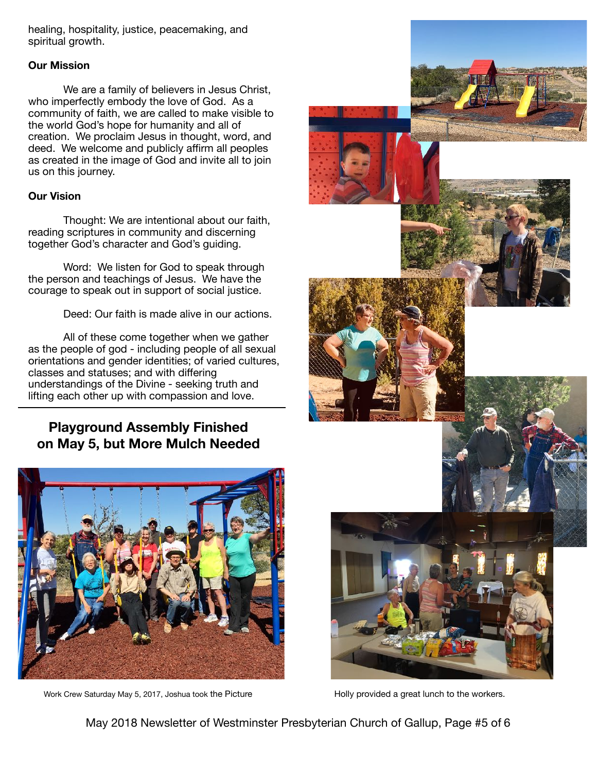healing, hospitality, justice, peacemaking, and spiritual growth.

### **Our Mission**

We are a family of believers in Jesus Christ, who imperfectly embody the love of God. As a community of faith, we are called to make visible to the world God's hope for humanity and all of creation. We proclaim Jesus in thought, word, and deed. We welcome and publicly affirm all peoples as created in the image of God and invite all to join us on this journey.

#### **Our Vision**

Thought: We are intentional about our faith, reading scriptures in community and discerning together God's character and God's guiding.

Word: We listen for God to speak through the person and teachings of Jesus. We have the courage to speak out in support of social justice.

Deed: Our faith is made alive in our actions.

All of these come together when we gather as the people of god - including people of all sexual orientations and gender identities; of varied cultures, classes and statuses; and with differing understandings of the Divine - seeking truth and lifting each other up with compassion and love.

## **Playground Assembly Finished on May 5, but More Mulch Needed**



Work Crew Saturday May 5, 2017, Joshua took the Picture Holly Provided a great lunch to the workers.



May 2018 Newsletter of Westminster Presbyterian Church of Gallup, Page #5 of 6